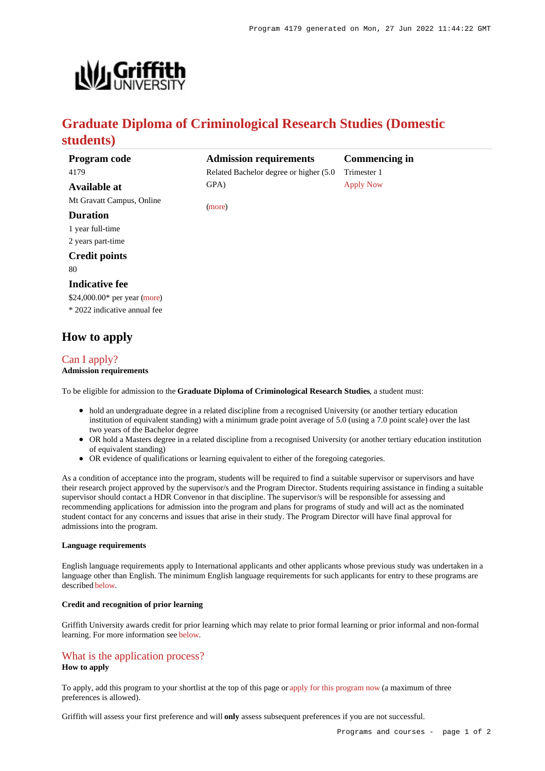

# **Graduate Diploma of Criminological Research Studies (Domestic students)**

| Program code                  | <b>Admission requirements</b>           | <b>Commencing in</b> |
|-------------------------------|-----------------------------------------|----------------------|
| 4179                          | Related Bachelor degree or higher (5.0) | Trimester 1          |
| Available at                  | GPA)                                    | <b>Apply Now</b>     |
| Mt Gravatt Campus, Online     |                                         |                      |
| <b>Duration</b>               | (more)                                  |                      |
| 1 year full-time              |                                         |                      |
| 2 years part-time             |                                         |                      |
| <b>Credit points</b>          |                                         |                      |
| 80                            |                                         |                      |
| <b>Indicative fee</b>         |                                         |                      |
| $$24,000.00*$ per year (more) |                                         |                      |
| * 2022 indicative annual fee  |                                         |                      |
|                               |                                         |                      |
|                               |                                         |                      |

## **How to apply**

### [Can I apply?](https://www148.griffith.edu.au/programs-courses/Program/4179/HowToApply/Domestic#can-i-apply)

#### **Admission requirements**

To be eligible for admission to the **Graduate Diploma of Criminological Research Studies**, a student must:

- hold an undergraduate degree in a related discipline from a recognised University (or another tertiary education institution of equivalent standing) with a minimum grade point average of 5.0 (using a 7.0 point scale) over the last two years of the Bachelor degree
- OR hold a Masters degree in a related discipline from a recognised University (or another tertiary education institution of equivalent standing)
- OR evidence of qualifications or learning equivalent to either of the foregoing categories.

As a condition of acceptance into the program, students will be required to find a suitable supervisor or supervisors and have their research project approved by the supervisor/s and the Program Director. Students requiring assistance in finding a suitable supervisor should contact a HDR Convenor in that discipline. The supervisor/s will be responsible for assessing and recommending applications for admission into the program and plans for programs of study and will act as the nominated student contact for any concerns and issues that arise in their study. The Program Director will have final approval for admissions into the program.

#### **Language requirements**

English language requirements apply to International applicants and other applicants whose previous study was undertaken in a language other than English. The minimum English language requirements for such applicants for entry to these programs are described [below](https://www148.griffith.edu.au/programs-courses/Program/4179/HowToApply/Domestic#language).

#### **Credit and recognition of prior learning**

Griffith University awards credit for prior learning which may relate to prior formal learning or prior informal and non-formal learning. For more information see [below](https://www148.griffith.edu.au/programs-courses/Program/4179/HowToApply/Domestic#credit).

#### [What is the application process?](https://www148.griffith.edu.au/programs-courses/Program/4179/HowToApply/Domestic#process)

#### **How to apply**

To apply, add this program to your shortlist at the top of this page or [apply for this program now](https://www148.griffith.edu.au/online-admissions/Start/Index/DIRECT_PG?applicationTemplateType=ONPGRDDOM) (a maximum of three preferences is allowed).

Griffith will assess your first preference and will **only** assess subsequent preferences if you are not successful.